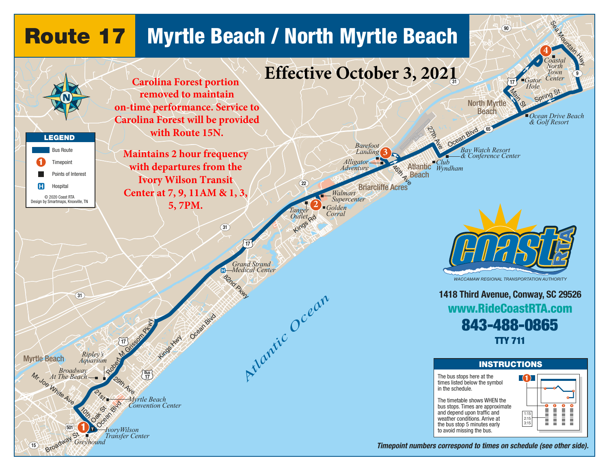